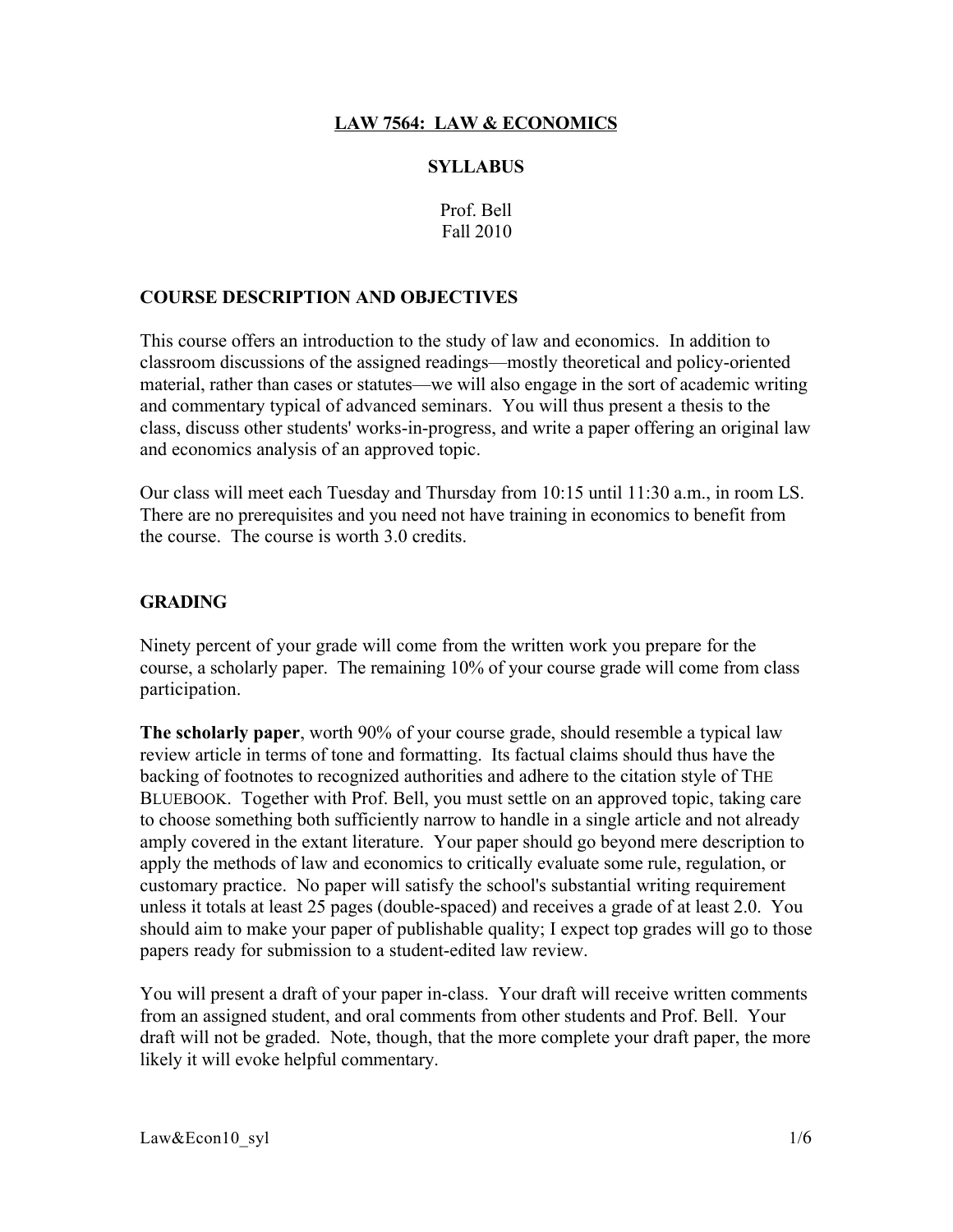# LAW 7564: LAW & ECONOMICS

#### **SYLLABUS**

Prof. Bell Fall 2010

#### COURSE DESCRIPTION AND OBJECTIVES

This course offers an introduction to the study of law and economics. In addition to classroom discussions of the assigned readings—mostly theoretical and policy-oriented material, rather than cases or statutes—we will also engage in the sort of academic writing and commentary typical of advanced seminars. You will thus present a thesis to the class, discuss other students' works-in-progress, and write a paper offering an original law and economics analysis of an approved topic.

Our class will meet each Tuesday and Thursday from 10:15 until 11:30 a.m., in room LS. There are no prerequisites and you need not have training in economics to benefit from the course. The course is worth 3.0 credits.

#### **GRADING**

Ninety percent of your grade will come from the written work you prepare for the course, a scholarly paper. The remaining 10% of your course grade will come from class participation.

The scholarly paper, worth 90% of your course grade, should resemble a typical law review article in terms of tone and formatting. Its factual claims should thus have the backing of footnotes to recognized authorities and adhere to the citation style of THE BLUEBOOK. Together with Prof. Bell, you must settle on an approved topic, taking care to choose something both sufficiently narrow to handle in a single article and not already amply covered in the extant literature. Your paper should go beyond mere description to apply the methods of law and economics to critically evaluate some rule, regulation, or customary practice. No paper will satisfy the school's substantial writing requirement unless it totals at least 25 pages (double-spaced) and receives a grade of at least 2.0. You should aim to make your paper of publishable quality; I expect top grades will go to those papers ready for submission to a student-edited law review.

You will present a draft of your paper in-class. Your draft will receive written comments from an assigned student, and oral comments from other students and Prof. Bell. Your draft will not be graded. Note, though, that the more complete your draft paper, the more likely it will evoke helpful commentary.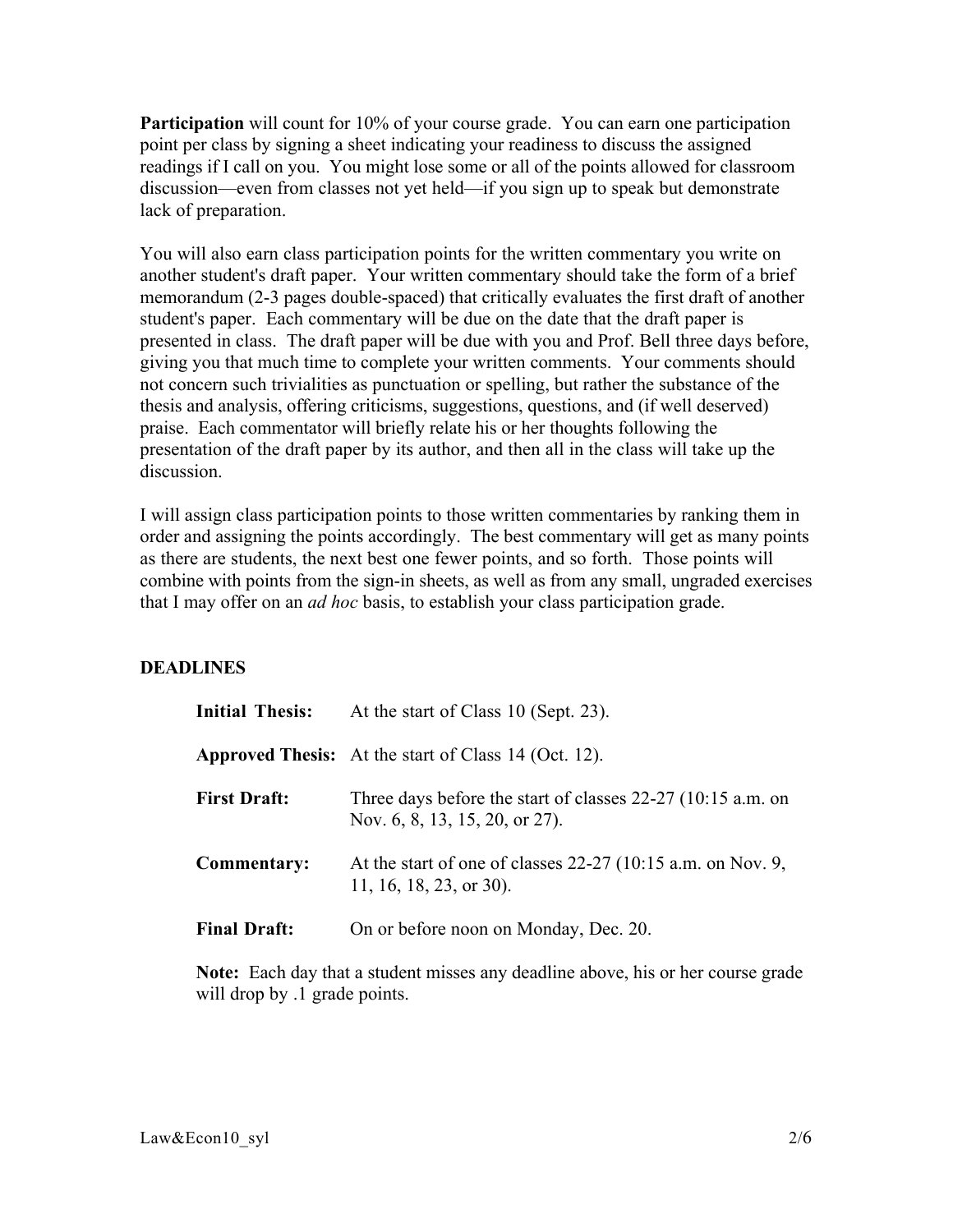Participation will count for 10% of your course grade. You can earn one participation point per class by signing a sheet indicating your readiness to discuss the assigned readings if I call on you. You might lose some or all of the points allowed for classroom discussion—even from classes not yet held—if you sign up to speak but demonstrate lack of preparation.

You will also earn class participation points for the written commentary you write on another student's draft paper. Your written commentary should take the form of a brief memorandum (2-3 pages double-spaced) that critically evaluates the first draft of another student's paper. Each commentary will be due on the date that the draft paper is presented in class. The draft paper will be due with you and Prof. Bell three days before, giving you that much time to complete your written comments. Your comments should not concern such trivialities as punctuation or spelling, but rather the substance of the thesis and analysis, offering criticisms, suggestions, questions, and (if well deserved) praise. Each commentator will briefly relate his or her thoughts following the presentation of the draft paper by its author, and then all in the class will take up the discussion.

I will assign class participation points to those written commentaries by ranking them in order and assigning the points accordingly. The best commentary will get as many points as there are students, the next best one fewer points, and so forth. Those points will combine with points from the sign-in sheets, as well as from any small, ungraded exercises that I may offer on an *ad hoc* basis, to establish your class participation grade.

# DEADLINES

| <b>Initial Thesis:</b> | At the start of Class 10 (Sept. 23).                                                            |
|------------------------|-------------------------------------------------------------------------------------------------|
|                        | <b>Approved Thesis:</b> At the start of Class 14 (Oct. 12).                                     |
| <b>First Draft:</b>    | Three days before the start of classes $22-27$ (10:15 a.m. on<br>Nov. 6, 8, 13, 15, 20, or 27). |
| Commentary:            | At the start of one of classes $22-27$ (10:15 a.m. on Nov. 9,<br>11, 16, 18, 23, or 30).        |
| <b>Final Draft:</b>    | On or before noon on Monday, Dec. 20.                                                           |

Note: Each day that a student misses any deadline above, his or her course grade will drop by  $\alpha$  and points.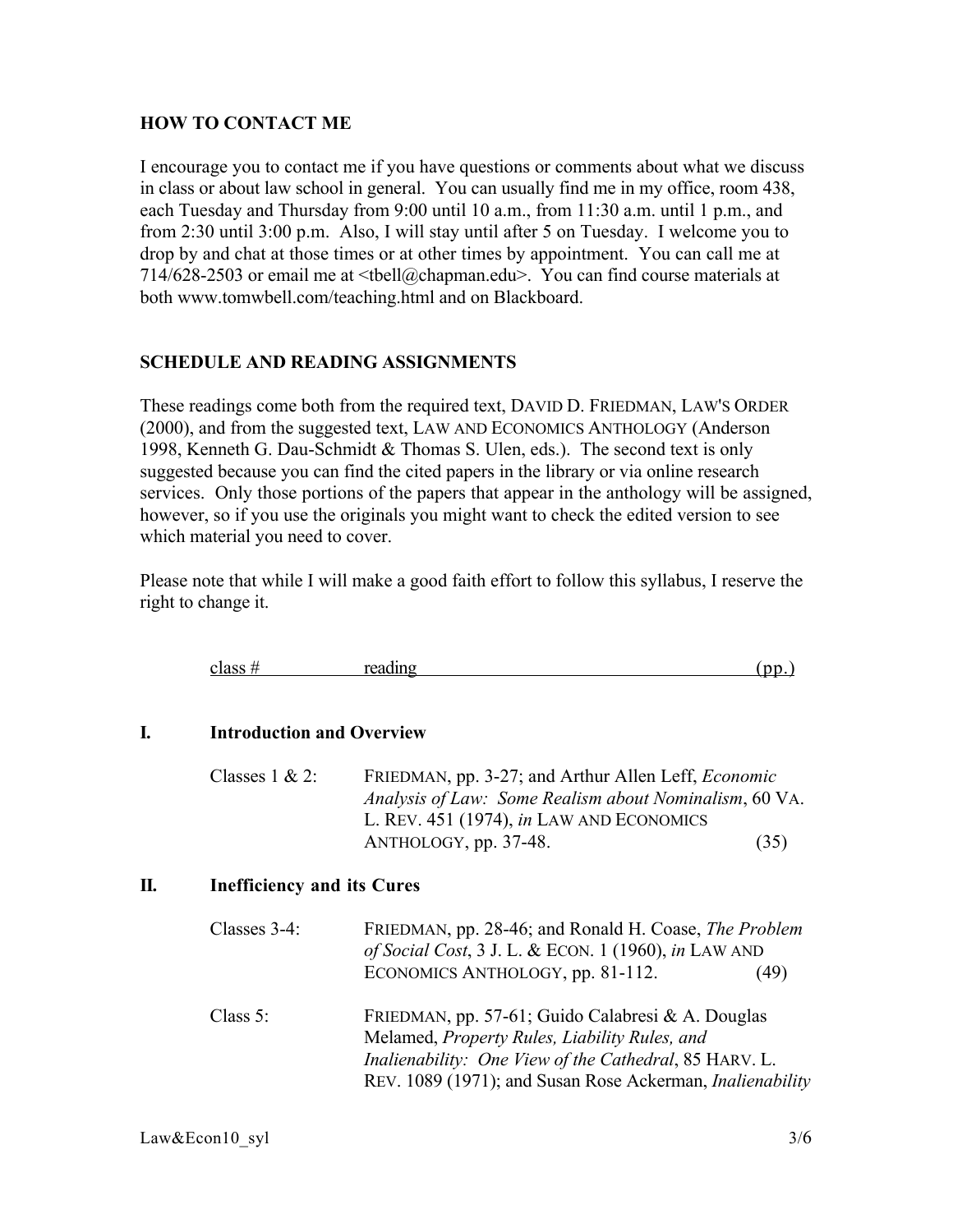# HOW TO CONTACT ME

I encourage you to contact me if you have questions or comments about what we discuss in class or about law school in general. You can usually find me in my office, room 438, each Tuesday and Thursday from 9:00 until 10 a.m., from 11:30 a.m. until 1 p.m., and from 2:30 until 3:00 p.m. Also, I will stay until after 5 on Tuesday. I welcome you to drop by and chat at those times or at other times by appointment. You can call me at 714/628-2503 or email me at <tbell@chapman.edu>. You can find course materials at both www.tomwbell.com/teaching.html and on Blackboard.

### SCHEDULE AND READING ASSIGNMENTS

These readings come both from the required text, DAVID D. FRIEDMAN, LAW'S ORDER (2000), and from the suggested text, LAW AND ECONOMICS ANTHOLOGY (Anderson 1998, Kenneth G. Dau-Schmidt & Thomas S. Ulen, eds.). The second text is only suggested because you can find the cited papers in the library or via online research services. Only those portions of the papers that appear in the anthology will be assigned, however, so if you use the originals you might want to check the edited version to see which material you need to cover.

Please note that while I will make a good faith effort to follow this syllabus, I reserve the right to change it.

|         | . .     |        |  |
|---------|---------|--------|--|
| class # | reading | $\sim$ |  |
|         |         |        |  |
|         |         |        |  |

#### I. Introduction and Overview

| Classes $1 & 2$ : | FRIEDMAN, pp. 3-27; and Arthur Allen Leff, <i>Economic</i> |      |
|-------------------|------------------------------------------------------------|------|
|                   | Analysis of Law: Some Realism about Nominalism, 60 VA.     |      |
|                   | L. REV. 451 (1974), in LAW AND ECONOMICS                   |      |
|                   | ANTHOLOGY, pp. 37-48.                                      | (35) |

#### II. Inefficiency and its Cures

| Classes 3-4: | FRIEDMAN, pp. 28-46; and Ronald H. Coase, The Problem<br>of Social Cost, 3 J. L. & ECON. 1 (1960), in LAW AND                                                                                                                    |  |
|--------------|----------------------------------------------------------------------------------------------------------------------------------------------------------------------------------------------------------------------------------|--|
|              | ECONOMICS ANTHOLOGY, pp. 81-112.<br>(49)                                                                                                                                                                                         |  |
| Class $5$ :  | FRIEDMAN, pp. 57-61; Guido Calabresi & A. Douglas<br>Melamed, Property Rules, Liability Rules, and<br>Inalienability: One View of the Cathedral, 85 HARV. L.<br>REV. 1089 (1971); and Susan Rose Ackerman, <i>Inalienability</i> |  |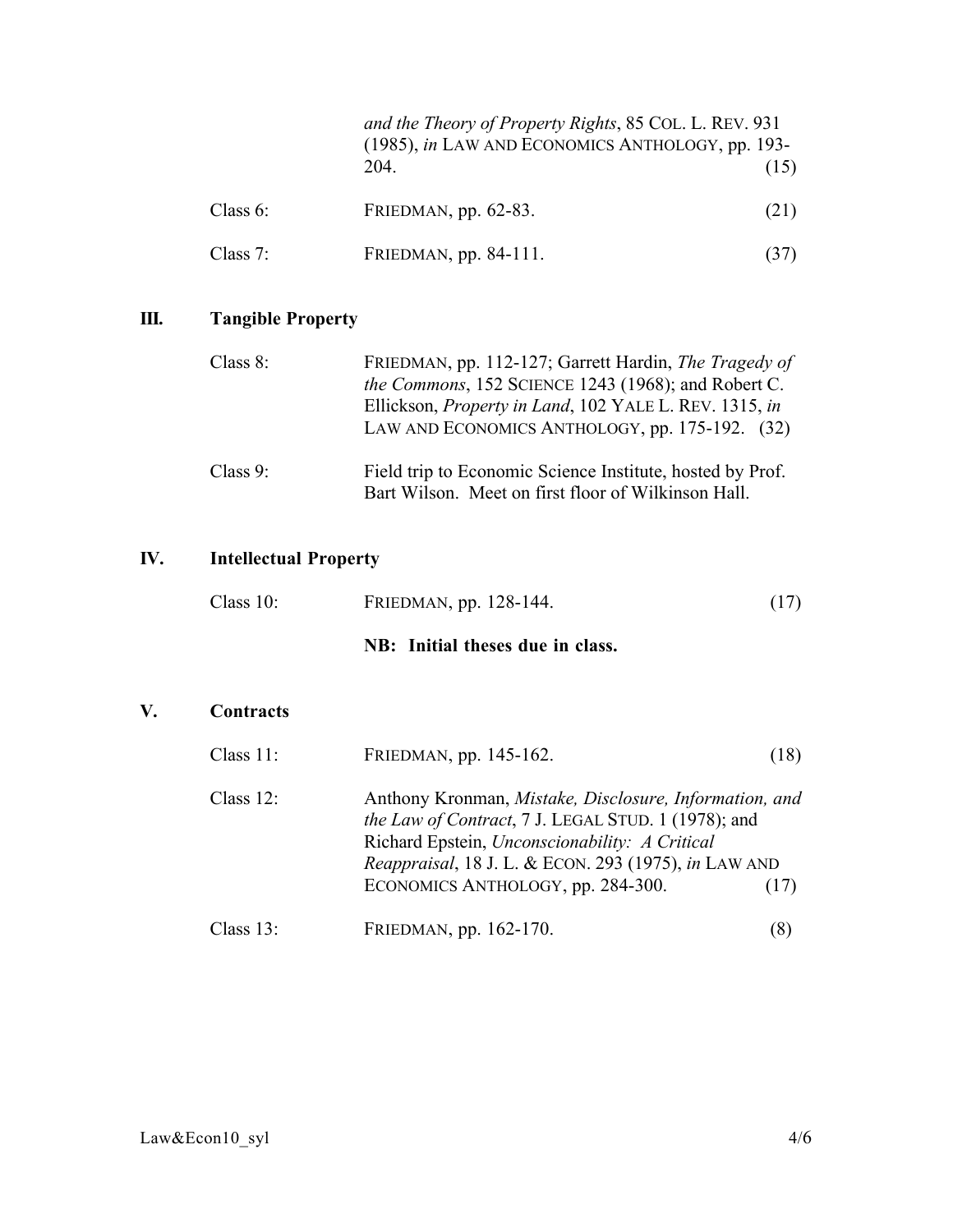|             |                       | and the Theory of Property Rights, 85 COL. L. REV. 931<br>(1985), in LAW AND ECONOMICS ANTHOLOGY, pp. 193- |  |
|-------------|-----------------------|------------------------------------------------------------------------------------------------------------|--|
|             | 204                   | (15)                                                                                                       |  |
| Class $6$ : | FRIEDMAN, pp. 62-83.  | (21)                                                                                                       |  |
| Class $7:$  | FRIEDMAN, pp. 84-111. |                                                                                                            |  |

# III. Tangible Property

| Class $8$ : | FRIEDMAN, pp. 112-127; Garrett Hardin, <i>The Tragedy of</i><br>the Commons, 152 SCIENCE 1243 (1968); and Robert C.<br>Ellickson, <i>Property in Land</i> , 102 YALE L. REV. 1315, in<br>LAW AND ECONOMICS ANTHOLOGY, pp. 175-192. (32) |
|-------------|-----------------------------------------------------------------------------------------------------------------------------------------------------------------------------------------------------------------------------------------|
| Class $9$ : | Field trip to Economic Science Institute, hosted by Prof.<br>Bart Wilson. Meet on first floor of Wilkinson Hall.                                                                                                                        |

# IV. Intellectual Property

| Class $10$ : | FRIEDMAN, pp. 128-144.           | (17) |
|--------------|----------------------------------|------|
|              | NB: Initial theses due in class. |      |

# V. Contracts

| Class $11$ : | FRIEDMAN, pp. 145-162.                                                                                                                                                                                                                                               | (18) |
|--------------|----------------------------------------------------------------------------------------------------------------------------------------------------------------------------------------------------------------------------------------------------------------------|------|
| Class $12$ : | Anthony Kronman, Mistake, Disclosure, Information, and<br><i>the Law of Contract</i> , 7 J. LEGAL STUD. 1 (1978); and<br>Richard Epstein, Unconscionability: A Critical<br>Reappraisal, 18 J. L. & ECON. 293 (1975), in LAW AND<br>ECONOMICS ANTHOLOGY, pp. 284-300. | (17) |
| Class $13$ : | FRIEDMAN, pp. 162-170.                                                                                                                                                                                                                                               |      |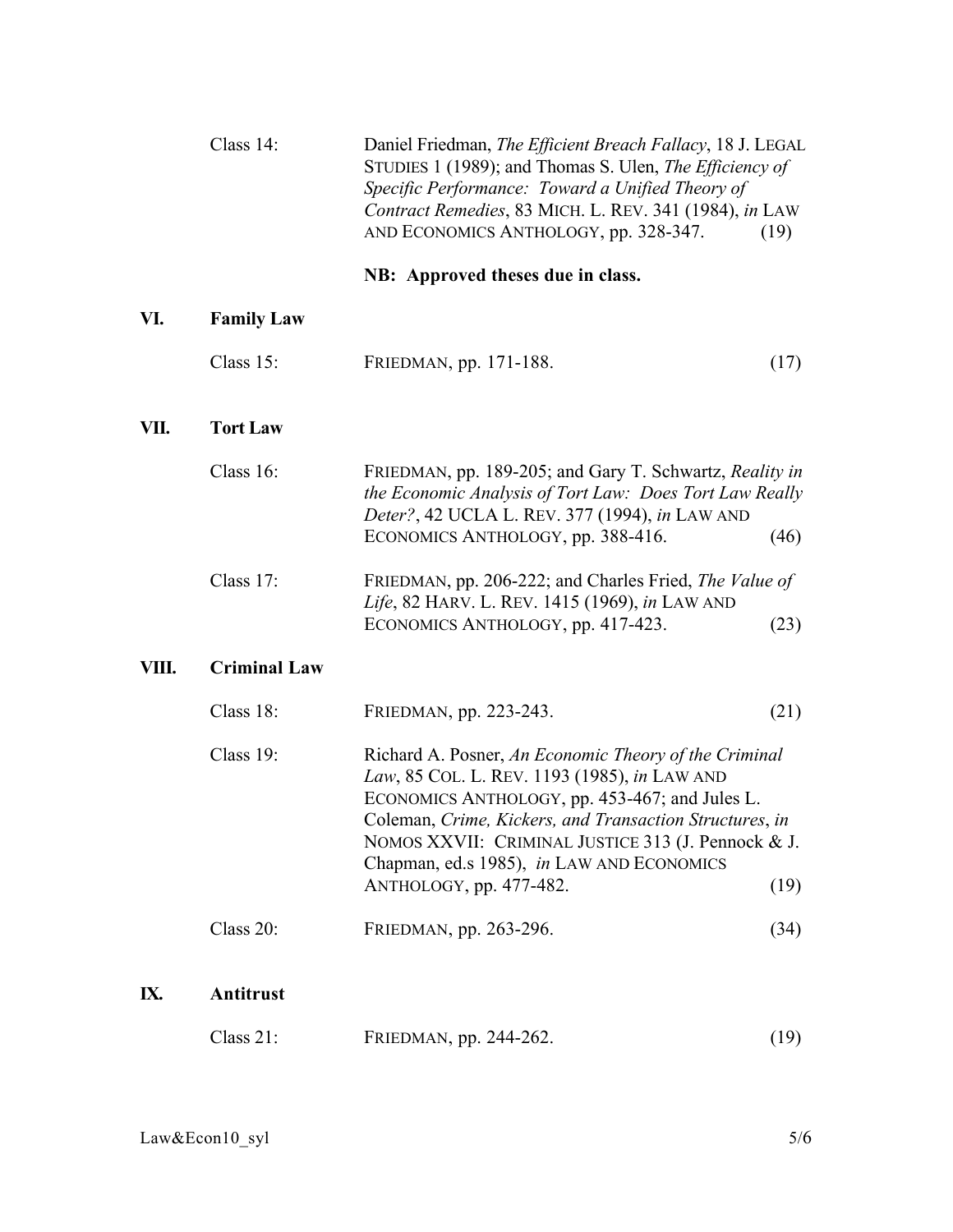|       | Class 14:           | Daniel Friedman, The Efficient Breach Fallacy, 18 J. LEGAL<br>STUDIES 1 (1989); and Thomas S. Ulen, The Efficiency of<br>Specific Performance: Toward a Unified Theory of<br>Contract Remedies, 83 MICH. L. REV. 341 (1984), in LAW<br>AND ECONOMICS ANTHOLOGY, pp. 328-347.                                                                             | (19) |
|-------|---------------------|----------------------------------------------------------------------------------------------------------------------------------------------------------------------------------------------------------------------------------------------------------------------------------------------------------------------------------------------------------|------|
|       |                     | NB: Approved theses due in class.                                                                                                                                                                                                                                                                                                                        |      |
| VI.   | <b>Family Law</b>   |                                                                                                                                                                                                                                                                                                                                                          |      |
|       | Class $15$ :        | FRIEDMAN, pp. 171-188.                                                                                                                                                                                                                                                                                                                                   | (17) |
| VII.  | <b>Tort Law</b>     |                                                                                                                                                                                                                                                                                                                                                          |      |
|       | Class 16:           | FRIEDMAN, pp. 189-205; and Gary T. Schwartz, Reality in<br>the Economic Analysis of Tort Law: Does Tort Law Really<br>Deter?, 42 UCLA L. REV. 377 (1994), in LAW AND<br>ECONOMICS ANTHOLOGY, pp. 388-416.                                                                                                                                                | (46) |
|       | Class 17:           | FRIEDMAN, pp. 206-222; and Charles Fried, The Value of<br>Life, 82 HARV. L. REV. 1415 (1969), in LAW AND<br>ECONOMICS ANTHOLOGY, pp. 417-423.                                                                                                                                                                                                            | (23) |
| VIII. | <b>Criminal Law</b> |                                                                                                                                                                                                                                                                                                                                                          |      |
|       | Class 18:           | FRIEDMAN, pp. 223-243.                                                                                                                                                                                                                                                                                                                                   | (21) |
|       | Class 19:           | Richard A. Posner, An Economic Theory of the Criminal<br>Law, 85 COL. L. REV. 1193 (1985), in LAW AND<br>ECONOMICS ANTHOLOGY, pp. 453-467; and Jules L.<br>Coleman, Crime, Kickers, and Transaction Structures, in<br>NOMOS XXVII: CRIMINAL JUSTICE 313 (J. Pennock & J.<br>Chapman, ed.s 1985), in LAW AND ECONOMICS<br>ANTHOLOGY, pp. 477-482.<br>(19) |      |
|       | Class 20:           | FRIEDMAN, pp. 263-296.                                                                                                                                                                                                                                                                                                                                   | (34) |
| IX.   | Antitrust           |                                                                                                                                                                                                                                                                                                                                                          |      |
|       | Class 21:           | FRIEDMAN, pp. 244-262.                                                                                                                                                                                                                                                                                                                                   | (19) |